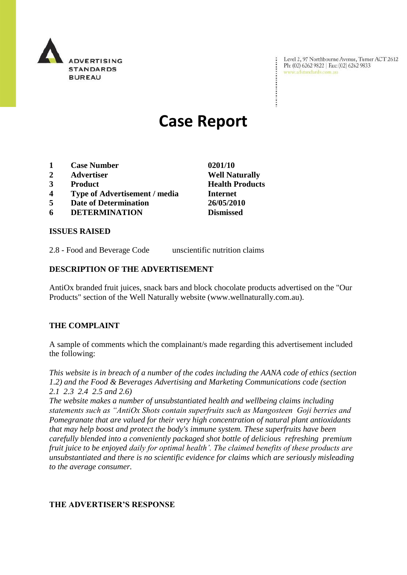

Level 2, 97 Northbourne Avenue, Turner ACT 2612 Level 2, 97 Northbourne Avenue, Turne<br>Ph: (02) 6262 9822 | Fax: (02) 6262 9833 www.adstandards.com.au

 $\ddot{\cdot}$ 

# **Case Report**

- **1 Case Number 0201/10**
- **2 Advertiser Well Naturally**
- **3 Product Health Products**
- **4 Type of Advertisement / media Internet**
- **5 Date of Determination 26/05/2010**
- **6 DETERMINATION Dismissed**

### **ISSUES RAISED**

2.8 - Food and Beverage Code unscientific nutrition claims

#### **DESCRIPTION OF THE ADVERTISEMENT**

AntiOx branded fruit juices, snack bars and block chocolate products advertised on the "Our Products" section of the Well Naturally website (www.wellnaturally.com.au).

### **THE COMPLAINT**

A sample of comments which the complainant/s made regarding this advertisement included the following:

*This website is in breach of a number of the codes including the AANA code of ethics (section 1.2) and the Food & Beverages Advertising and Marketing Communications code (section 2.1 2.3 2.4 2.5 and 2.6)* 

*The website makes a number of unsubstantiated health and wellbeing claims including statements such as "AntiOx Shots contain superfruits such as Mangosteen Goji berries and Pomegranate that are valued for their very high concentration of natural plant antioxidants that may help boost and protect the body's immune system. These superfruits have been carefully blended into a conveniently packaged shot bottle of delicious refreshing premium fruit juice to be enjoyed daily for optimal health'. The claimed benefits of these products are unsubstantiated and there is no scientific evidence for claims which are seriously misleading to the average consumer.*

### **THE ADVERTISER'S RESPONSE**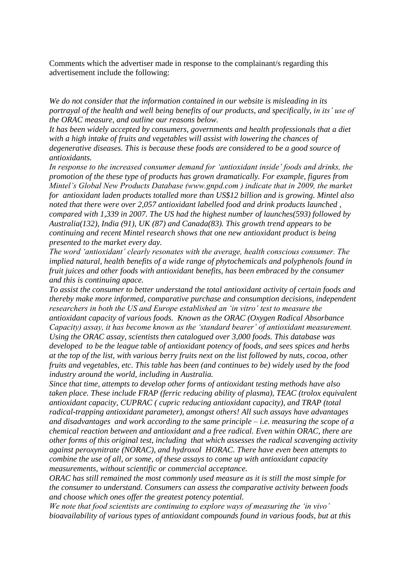Comments which the advertiser made in response to the complainant/s regarding this advertisement include the following:

*We do not consider that the information contained in our website is misleading in its portrayal of the health and well being benefits of our products, and specifically, in its' use of the ORAC measure, and outline our reasons below.*

*It has been widely accepted by consumers, governments and health professionals that a diet with a high intake of fruits and vegetables will assist with lowering the chances of degenerative diseases. This is because these foods are considered to be a good source of antioxidants.* 

*In response to the increased consumer demand for 'antioxidant inside' foods and drinks, the promotion of the these type of products has grown dramatically. For example, figures from Mintel's Global New Products Database (www.gnpd.com ) indicate that in 2009, the market for antioxidant laden products totalled more than US\$12 billion and is growing. Mintel also noted that there were over 2,057 antioxidant labelled food and drink products launched , compared with 1,339 in 2007. The US had the highest number of launches(593) followed by Australia(132), India (91), UK (87) and Canada(83). This growth trend appears to be continuing and recent Mintel research shows that one new antioxidant product is being presented to the market every day.* 

*The word 'antioxidant' clearly resonates with the average, health conscious consumer. The implied natural, health benefits of a wide range of phytochemicals and polyphenols found in fruit juices and other foods with antioxidant benefits, has been embraced by the consumer and this is continuing apace.*

*To assist the consumer to better understand the total antioxidant activity of certain foods and thereby make more informed, comparative purchase and consumption decisions, independent researchers in both the US and Europe established an 'in vitro' test to measure the antioxidant capacity of various foods. Known as the ORAC (Oxygen Radical Absorbance Capacity) assay, it has become known as the 'standard bearer' of antioxidant measurement. Using the ORAC assay, scientists then catalogued over 3,000 foods. This database was developed to be the league table of antioxidant potency of foods, and sees spices and herbs at the top of the list, with various berry fruits next on the list followed by nuts, cocoa, other fruits and vegetables, etc. This table has been (and continues to be) widely used by the food industry around the world, including in Australia.*

*Since that time, attempts to develop other forms of antioxidant testing methods have also taken place. These include FRAP (ferric reducing ability of plasma), TEAC (trolox equivalent antioxidant capacity, CUPRAC ( cupric reducing antioxidant capacity), and TRAP (total radical-trapping antioxidant parameter), amongst others! All such assays have advantages and disadvantages and work according to the same principle – i.e. measuring the scope of a chemical reaction between and antioxidant and a free radical. Even within ORAC, there are other forms of this original test, including that which assesses the radical scavenging activity against peroxynitrate (NORAC), and hydroxol HORAC. There have even been attempts to combine the use of all, or some, of these assays to come up with antioxidant capacity measurements, without scientific or commercial acceptance.*

*ORAC has still remained the most commonly used measure as it is still the most simple for the consumer to understand. Consumers can assess the comparative activity between foods and choose which ones offer the greatest potency potential.* 

*We note that food scientists are continuing to explore ways of measuring the 'in vivo' bioavailability of various types of antioxidant compounds found in various foods, but at this*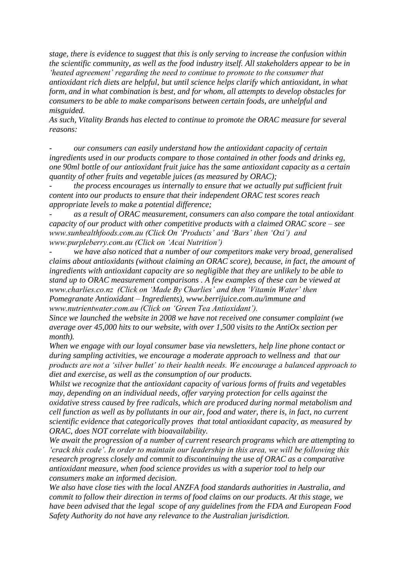*stage, there is evidence to suggest that this is only serving to increase the confusion within the scientific community, as well as the food industry itself. All stakeholders appear to be in 'heated agreement' regarding the need to continue to promote to the consumer that antioxidant rich diets are helpful, but until science helps clarify which antioxidant, in what form, and in what combination is best, and for whom, all attempts to develop obstacles for consumers to be able to make comparisons between certain foods, are unhelpful and misguided.*

*As such, Vitality Brands has elected to continue to promote the ORAC measure for several reasons:*

*- our consumers can easily understand how the antioxidant capacity of certain ingredients used in our products compare to those contained in other foods and drinks eg, one 90ml bottle of our antioxidant fruit juice has the same antioxidant capacity as a certain quantity of other fruits and vegetable juices (as measured by ORAC);*

*- the process encourages us internally to ensure that we actually put sufficient fruit content into our products to ensure that their independent ORAC test scores reach appropriate levels to make a potential difference;*

*- as a result of ORAC measurement, consumers can also compare the total antioxidant capacity of our product with other competitive products with a claimed ORAC score – see www.sunhealthfoods.com.au (Click On 'Products' and 'Bars' then 'Oxi') and www.purpleberry.com.au (Click on 'Acai Nutrition')*

*- we have also noticed that a number of our competitors make very broad, generalised claims about antioxidants (without claiming an ORAC score), because, in fact, the amount of ingredients with antioxidant capacity are so negligible that they are unlikely to be able to stand up to ORAC measurement comparisons . A few examples of these can be viewed at www.charlies.co.nz (Click on 'Made By Charlies' and then 'Vitamin Water' then Pomegranate Antioxidant – Ingredients), www.berrijuice.com.au/immune and www.nutrientwater.com.au (Click on 'Green Tea Antioxidant').* 

*Since we launched the website in 2008 we have not received one consumer complaint (we average over 45,000 hits to our website, with over 1,500 visits to the AntiOx section per month).* 

*When we engage with our loyal consumer base via newsletters, help line phone contact or during sampling activities, we encourage a moderate approach to wellness and that our products are not a 'silver bullet' to their health needs. We encourage a balanced approach to diet and exercise, as well as the consumption of our products.*

*Whilst we recognize that the antioxidant capacity of various forms of fruits and vegetables may, depending on an individual needs, offer varying protection for cells against the oxidative stress caused by free radicals, which are produced during normal metabolism and cell function as well as by pollutants in our air, food and water, there is, in fact, no current scientific evidence that categorically proves that total antioxidant capacity, as measured by ORAC, does NOT correlate with bioavailability.* 

*We await the progression of a number of current research programs which are attempting to 'crack this code'. In order to maintain our leadership in this area, we will be following this research progress closely and commit to discontinuing the use of ORAC as a comparative antioxidant measure, when food science provides us with a superior tool to help our consumers make an informed decision.* 

*We also have close ties with the local ANZFA food standards authorities in Australia, and commit to follow their direction in terms of food claims on our products. At this stage, we have been advised that the legal scope of any guidelines from the FDA and European Food Safety Authority do not have any relevance to the Australian jurisdiction.*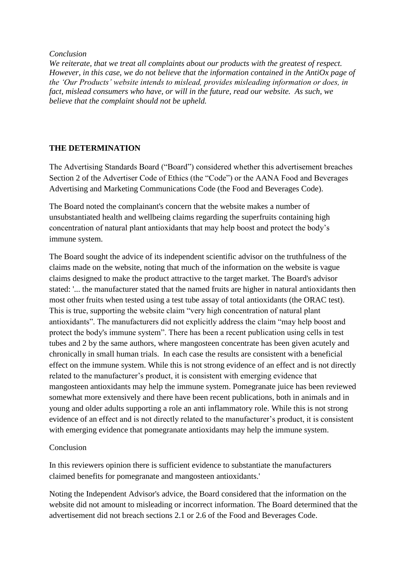*Conclusion*

*We reiterate, that we treat all complaints about our products with the greatest of respect. However, in this case, we do not believe that the information contained in the AntiOx page of the 'Our Products' website intends to mislead, provides misleading information or does, in fact, mislead consumers who have, or will in the future, read our website. As such, we believe that the complaint should not be upheld.*

## **THE DETERMINATION**

The Advertising Standards Board ("Board") considered whether this advertisement breaches Section 2 of the Advertiser Code of Ethics (the "Code") or the AANA Food and Beverages Advertising and Marketing Communications Code (the Food and Beverages Code).

The Board noted the complainant's concern that the website makes a number of unsubstantiated health and wellbeing claims regarding the superfruits containing high concentration of natural plant antioxidants that may help boost and protect the body's immune system.

The Board sought the advice of its independent scientific advisor on the truthfulness of the claims made on the website, noting that much of the information on the website is vague claims designed to make the product attractive to the target market. The Board's advisor stated: '... the manufacturer stated that the named fruits are higher in natural antioxidants then most other fruits when tested using a test tube assay of total antioxidants (the ORAC test). This is true, supporting the website claim "very high concentration of natural plant antioxidants". The manufacturers did not explicitly address the claim "may help boost and protect the body's immune system". There has been a recent publication using cells in test tubes and 2 by the same authors, where mangosteen concentrate has been given acutely and chronically in small human trials. In each case the results are consistent with a beneficial effect on the immune system. While this is not strong evidence of an effect and is not directly related to the manufacturer's product, it is consistent with emerging evidence that mangosteen antioxidants may help the immune system. Pomegranate juice has been reviewed somewhat more extensively and there have been recent publications, both in animals and in young and older adults supporting a role an anti inflammatory role. While this is not strong evidence of an effect and is not directly related to the manufacturer's product, it is consistent with emerging evidence that pomegranate antioxidants may help the immune system.

## Conclusion

In this reviewers opinion there is sufficient evidence to substantiate the manufacturers claimed benefits for pomegranate and mangosteen antioxidants.'

Noting the Independent Advisor's advice, the Board considered that the information on the website did not amount to misleading or incorrect information. The Board determined that the advertisement did not breach sections 2.1 or 2.6 of the Food and Beverages Code.